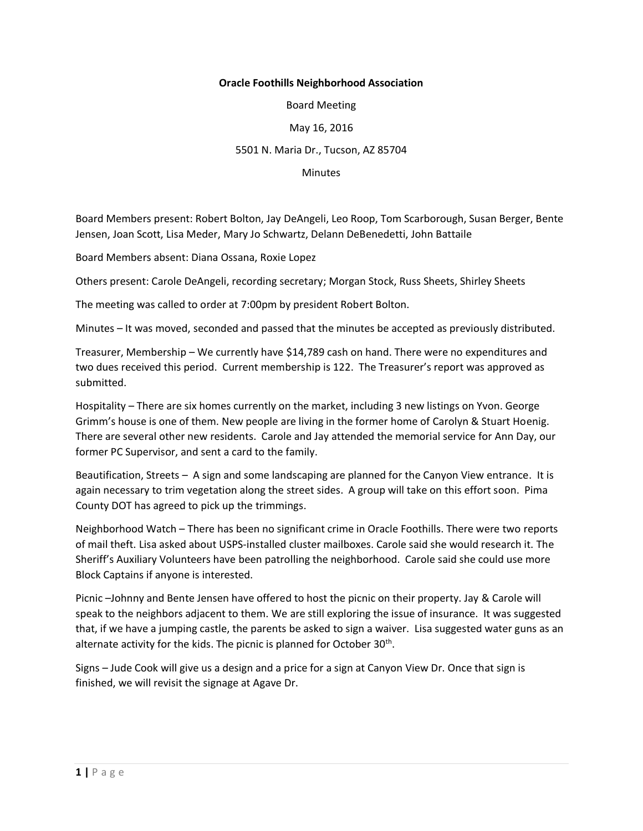## **Oracle Foothills Neighborhood Association**

Board Meeting

## May 16, 2016

## 5501 N. Maria Dr., Tucson, AZ 85704

**Minutes** 

Board Members present: Robert Bolton, Jay DeAngeli, Leo Roop, Tom Scarborough, Susan Berger, Bente Jensen, Joan Scott, Lisa Meder, Mary Jo Schwartz, Delann DeBenedetti, John Battaile

Board Members absent: Diana Ossana, Roxie Lopez

Others present: Carole DeAngeli, recording secretary; Morgan Stock, Russ Sheets, Shirley Sheets

The meeting was called to order at 7:00pm by president Robert Bolton.

Minutes – It was moved, seconded and passed that the minutes be accepted as previously distributed.

Treasurer, Membership – We currently have \$14,789 cash on hand. There were no expenditures and two dues received this period. Current membership is 122. The Treasurer's report was approved as submitted.

Hospitality – There are six homes currently on the market, including 3 new listings on Yvon. George Grimm's house is one of them. New people are living in the former home of Carolyn & Stuart Hoenig. There are several other new residents. Carole and Jay attended the memorial service for Ann Day, our former PC Supervisor, and sent a card to the family.

Beautification, Streets – A sign and some landscaping are planned for the Canyon View entrance. It is again necessary to trim vegetation along the street sides. A group will take on this effort soon. Pima County DOT has agreed to pick up the trimmings.

Neighborhood Watch – There has been no significant crime in Oracle Foothills. There were two reports of mail theft. Lisa asked about USPS-installed cluster mailboxes. Carole said she would research it. The Sheriff's Auxiliary Volunteers have been patrolling the neighborhood. Carole said she could use more Block Captains if anyone is interested.

Picnic –Johnny and Bente Jensen have offered to host the picnic on their property. Jay & Carole will speak to the neighbors adjacent to them. We are still exploring the issue of insurance. It was suggested that, if we have a jumping castle, the parents be asked to sign a waiver. Lisa suggested water guns as an alternate activity for the kids. The picnic is planned for October 30<sup>th</sup>.

Signs – Jude Cook will give us a design and a price for a sign at Canyon View Dr. Once that sign is finished, we will revisit the signage at Agave Dr.